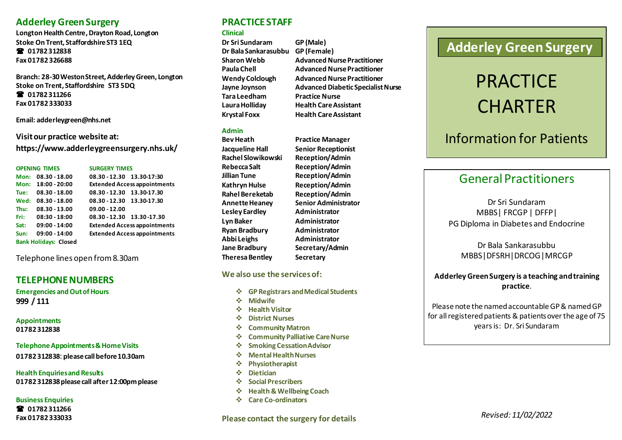### **Adderley Green Surgery**

**Longton Health Centre, Drayton Road, Longton Stoke On Trent, Staffordshire ST3 1EQ 01782 312838 Fax 01782 326688**

**Branch: 28-30 Weston Street, Adderley Green, Longton Stoke on Trent, Staffordshire ST3 5DQ 01782 311266 Fax 01782 333033**

**Email[: adderleygreen@nhs.net](mailto:adderleygreen@nhs.net)**

**Visit our practice website at: https://www.adderleygreensurgery.nhs.uk/**

**OPENING TIMES SURGERY TIMES Mon: 08.30 - 18.00 08.30 - 12.30 13.30-17:30**

|      | <u>IVION: 08.30 - 18.00</u>  | U8.3U-12.3U 13.3U-17.3U             |
|------|------------------------------|-------------------------------------|
|      | Mon: 18:00 - 20:00           | <b>Extended Access appointments</b> |
| Tue: | 08.30 - 18.00                | 08.30 - 12.30 13.30-17.30           |
|      | Wed: 08.30 - 18.00           | 08.30 - 12.30 13.30-17.30           |
| Thu: | $08.30 - 13.00$              | $09.00 - 12.00$                     |
|      | Fri: 08:30 - 18:00           | 08.30 - 12.30 13.30 - 17.30         |
|      | Sat: 09:00 - 14:00           | <b>Extended Access appointments</b> |
| Sun: | $09:00 - 14:00$              | <b>Extended Access appointments</b> |
|      | <b>Bank Holidays: Closed</b> |                                     |
|      |                              |                                     |

Telephone lines open from 8.30am

### **TELEPHONE NUMBERS**

**Emergencies and Out of Hours 999 / 111**

**Appointments 01782 312838**

**Telephone Appointments & Home Visits 01782 312838**: **please call before 10.30am**

**Health Enquiries and Results 01782 312838 please call after 12:00pm please**

**Business Enquiries 01782 311266 Fax 01782 333033**

### **PRACTICE STAFF**

#### **Clinical**

**Dr Sri Sundaram GP (Male) Dr Bala Sankarasubbu GP (Female) Sharon Webb Advanced Nurse Practitioner Paula Chell Advanced Nurse Practitioner Wendy Colclough Advanced Nurse Practitioner Jayne Joynson Advanced Diabetic Specialist Nurse Tara Leedham Practice Nurse Laura Holliday Health Care Assistant Krystal Foxx Health Care Assistant**

#### **Admin**

**Bev Heath Practice Manager Jacqueline Hall Senior Receptionist Rachel Slowikowski Reception/Admin Rebecca Salt Reception/Admin Lesley Eardley Administrator Lyn Baker Administrator Ryan Bradbury Administrator Abbi Leighs Administrator Jane Bradbury Secretary/Admin Theresa Bentley Secretary**

**Jillian Tune Reception/Admin Kathryn Hulse Reception/Admin Rahel Bereketab Reception/Admin Annette Heaney Senior Administrator**

#### **We also use the services of:**

- ❖ **GP Registrars and Medical Students**
- ❖ **Midwife**
- ❖ **Health Visitor**
- ❖ **District Nurses**
- ❖ **Community Matron**
- ❖ **Community Palliative Care Nurse**
- ❖ **Smoking Cessation Advisor**
- ❖ **Mental Health Nurses**
- ❖ **Physiotherapist**
- ❖ **Dietician**
- ❖ **Social Prescribers**
- ❖ **Health & Wellbeing Coach**
- ❖ **Care Co-ordinators**

**Please contact the surgery for details**

## **Adderley Green Surgery**

# **PRACTICE CHARTER**

## Information for Patients

## General Practitioners

Dr Sri Sundaram MBBS| FRCGP | DFFP| PG Diploma in Diabetes and Endocrine

### Dr Bala Sankarasubbu MBBS|DFSRH|DRCOG|MRCGP

### **Adderley Green Surgery is a teaching and training practice**.

Please note the named accountable GP & named GP for all registered patients & patients over the age of 75 years is: Dr. Sri Sundaram